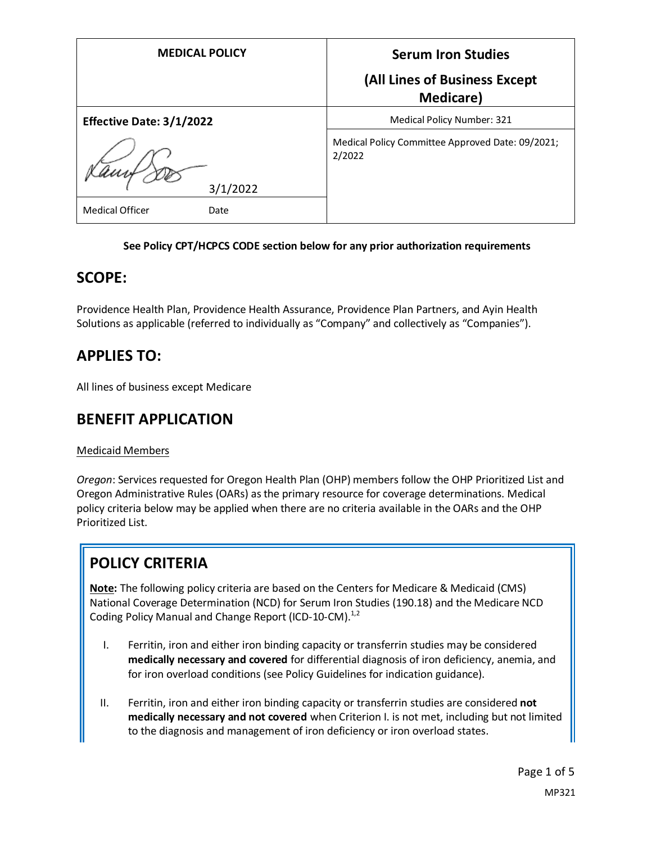| <b>MEDICAL POLICY</b>          | <b>Serum Iron Studies</b>                                  |
|--------------------------------|------------------------------------------------------------|
|                                | (All Lines of Business Except<br><b>Medicare</b> )         |
| Effective Date: 3/1/2022       | Medical Policy Number: 321                                 |
| 3/1/2022                       | Medical Policy Committee Approved Date: 09/2021;<br>2/2022 |
| <b>Medical Officer</b><br>Date |                                                            |

#### **See Policy CPT/HCPCS CODE section below for any prior authorization requirements**

### **SCOPE:**

Providence Health Plan, Providence Health Assurance, Providence Plan Partners, and Ayin Health Solutions as applicable (referred to individually as "Company" and collectively as "Companies").

## **APPLIES TO:**

All lines of business except Medicare

### **BENEFIT APPLICATION**

#### Medicaid Members

*Oregon*: Services requested for Oregon Health Plan (OHP) members follow the OHP Prioritized List and Oregon Administrative Rules (OARs) as the primary resource for coverage determinations. Medical policy criteria below may be applied when there are no criteria available in the OARs and the OHP Prioritized List.

# **POLICY CRITERIA**

**Note:** The following policy criteria are based on the Centers for Medicare & Medicaid (CMS) National Coverage Determination (NCD) for Serum Iron Studies (190.18) and the Medicare NCD Coding Policy Manual and Change Report (ICD-10-CM).<sup>1,2</sup>

- I. Ferritin, iron and either iron binding capacity or transferrin studies may be considered **medically necessary and covered** for differential diagnosis of iron deficiency, anemia, and for iron overload conditions (see Policy Guidelines for indication guidance).
- II. Ferritin, iron and either iron binding capacity or transferrin studies are considered **not medically necessary and not covered** when Criterion I. is not met, including but not limited to the diagnosis and management of iron deficiency or iron overload states.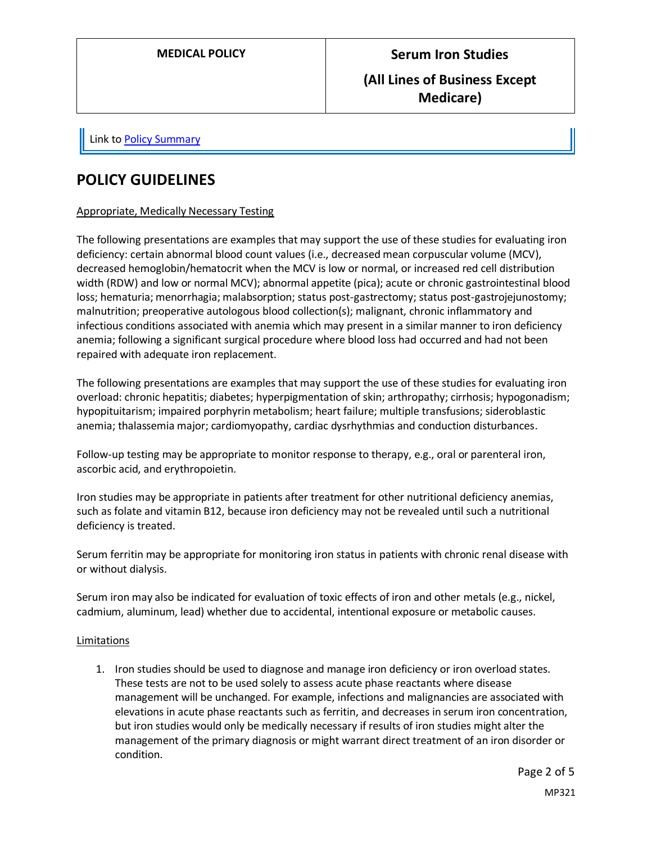### **(All Lines of Business Except Medicare)**

Link t[o Policy Summary](#page-3-0)

### **POLICY GUIDELINES**

#### Appropriate, Medically Necessary Testing

The following presentations are examples that may support the use of these studies for evaluating iron deficiency: certain abnormal blood count values (i.e., decreased mean corpuscular volume (MCV), decreased hemoglobin/hematocrit when the MCV is low or normal, or increased red cell distribution width (RDW) and low or normal MCV); abnormal appetite (pica); acute or chronic gastrointestinal blood loss; hematuria; menorrhagia; malabsorption; status post-gastrectomy; status post-gastrojejunostomy; malnutrition; preoperative autologous blood collection(s); malignant, chronic inflammatory and infectious conditions associated with anemia which may present in a similar manner to iron deficiency anemia; following a significant surgical procedure where blood loss had occurred and had not been repaired with adequate iron replacement.

The following presentations are examples that may support the use of these studies for evaluating iron overload: chronic hepatitis; diabetes; hyperpigmentation of skin; arthropathy; cirrhosis; hypogonadism; hypopituitarism; impaired porphyrin metabolism; heart failure; multiple transfusions; sideroblastic anemia; thalassemia major; cardiomyopathy, cardiac dysrhythmias and conduction disturbances.

Follow-up testing may be appropriate to monitor response to therapy, e.g., oral or parenteral iron, ascorbic acid, and erythropoietin.

Iron studies may be appropriate in patients after treatment for other nutritional deficiency anemias, such as folate and vitamin B12, because iron deficiency may not be revealed until such a nutritional deficiency is treated.

Serum ferritin may be appropriate for monitoring iron status in patients with chronic renal disease with or without dialysis.

Serum iron may also be indicated for evaluation of toxic effects of iron and other metals (e.g., nickel, cadmium, aluminum, lead) whether due to accidental, intentional exposure or metabolic causes.

#### Limitations

1. Iron studies should be used to diagnose and manage iron deficiency or iron overload states. These tests are not to be used solely to assess acute phase reactants where disease management will be unchanged. For example, infections and malignancies are associated with elevations in acute phase reactants such as ferritin, and decreases in serum iron concentration, but iron studies would only be medically necessary if results of iron studies might alter the management of the primary diagnosis or might warrant direct treatment of an iron disorder or condition.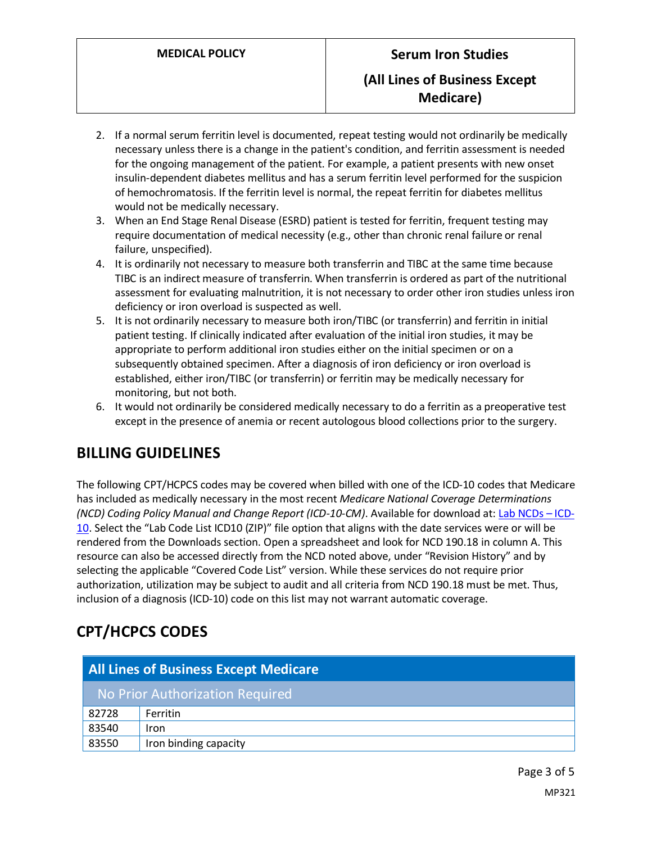- 2. If a normal serum ferritin level is documented, repeat testing would not ordinarily be medically necessary unless there is a change in the patient's condition, and ferritin assessment is needed for the ongoing management of the patient. For example, a patient presents with new onset insulin-dependent diabetes mellitus and has a serum ferritin level performed for the suspicion of hemochromatosis. If the ferritin level is normal, the repeat ferritin for diabetes mellitus would not be medically necessary.
- 3. When an End Stage Renal Disease (ESRD) patient is tested for ferritin, frequent testing may require documentation of medical necessity (e.g., other than chronic renal failure or renal failure, unspecified).
- 4. It is ordinarily not necessary to measure both transferrin and TIBC at the same time because TIBC is an indirect measure of transferrin. When transferrin is ordered as part of the nutritional assessment for evaluating malnutrition, it is not necessary to order other iron studies unless iron deficiency or iron overload is suspected as well.
- 5. It is not ordinarily necessary to measure both iron/TIBC (or transferrin) and ferritin in initial patient testing. If clinically indicated after evaluation of the initial iron studies, it may be appropriate to perform additional iron studies either on the initial specimen or on a subsequently obtained specimen. After a diagnosis of iron deficiency or iron overload is established, either iron/TIBC (or transferrin) or ferritin may be medically necessary for monitoring, but not both.
- 6. It would not ordinarily be considered medically necessary to do a ferritin as a preoperative test except in the presence of anemia or recent autologous blood collections prior to the surgery.

## **BILLING GUIDELINES**

The following CPT/HCPCS codes may be covered when billed with one of the ICD-10 codes that Medicare has included as medically necessary in the most recent *Medicare National Coverage Determinations (NCD) Coding Policy Manual and Change Report (ICD-10-CM)*. Available for download at: [Lab NCDs](https://www.cms.gov/Medicare/Coverage/CoverageGenInfo/LabNCDsICD10) – ICD-[10.](https://www.cms.gov/Medicare/Coverage/CoverageGenInfo/LabNCDsICD10) Select the "Lab Code List ICD10 (ZIP)" file option that aligns with the date services were or will be rendered from the Downloads section. Open a spreadsheet and look for NCD 190.18 in column A. This resource can also be accessed directly from the NCD noted above, under "Revision History" and by selecting the applicable "Covered Code List" version. While these services do not require prior authorization, utilization may be subject to audit and all criteria from NCD 190.18 must be met. Thus, inclusion of a diagnosis (ICD-10) code on this list may not warrant automatic coverage.

## **CPT/HCPCS CODES**

| <b>All Lines of Business Except Medicare</b> |                       |
|----------------------------------------------|-----------------------|
| No Prior Authorization Required              |                       |
| 82728                                        | <b>Ferritin</b>       |
| 83540                                        | <b>Iron</b>           |
| 83550                                        | Iron binding capacity |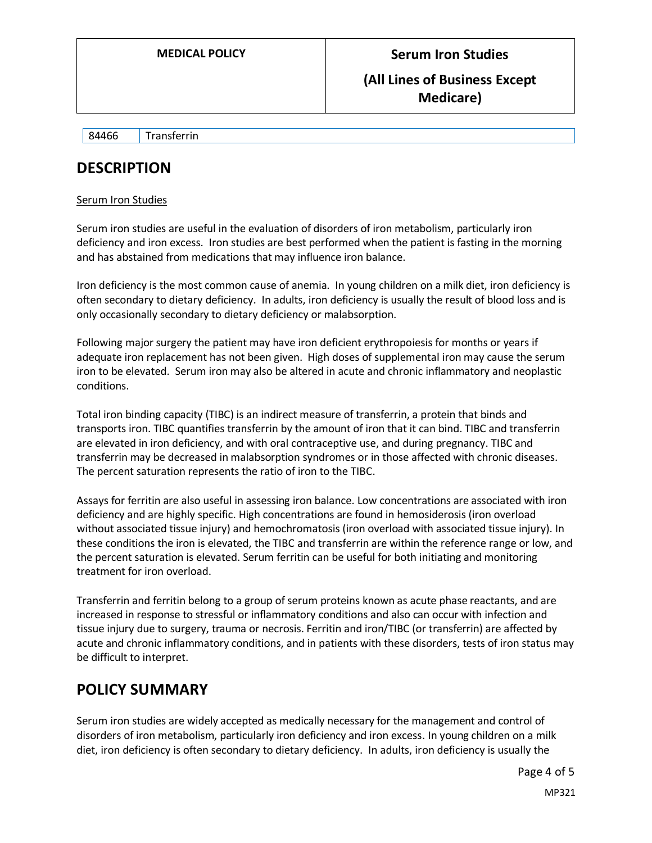#### **(All Lines of Business Except Medicare)**

84466 Transferrin

### **DESCRIPTION**

#### Serum Iron Studies

Serum iron studies are useful in the evaluation of disorders of iron metabolism, particularly iron deficiency and iron excess. Iron studies are best performed when the patient is fasting in the morning and has abstained from medications that may influence iron balance.

Iron deficiency is the most common cause of anemia. In young children on a milk diet, iron deficiency is often secondary to dietary deficiency. In adults, iron deficiency is usually the result of blood loss and is only occasionally secondary to dietary deficiency or malabsorption.

Following major surgery the patient may have iron deficient erythropoiesis for months or years if adequate iron replacement has not been given. High doses of supplemental iron may cause the serum iron to be elevated. Serum iron may also be altered in acute and chronic inflammatory and neoplastic conditions.

Total iron binding capacity (TIBC) is an indirect measure of transferrin, a protein that binds and transports iron. TIBC quantifies transferrin by the amount of iron that it can bind. TIBC and transferrin are elevated in iron deficiency, and with oral contraceptive use, and during pregnancy. TIBC and transferrin may be decreased in malabsorption syndromes or in those affected with chronic diseases. The percent saturation represents the ratio of iron to the TIBC.

Assays for ferritin are also useful in assessing iron balance. Low concentrations are associated with iron deficiency and are highly specific. High concentrations are found in hemosiderosis (iron overload without associated tissue injury) and hemochromatosis (iron overload with associated tissue injury). In these conditions the iron is elevated, the TIBC and transferrin are within the reference range or low, and the percent saturation is elevated. Serum ferritin can be useful for both initiating and monitoring treatment for iron overload.

Transferrin and ferritin belong to a group of serum proteins known as acute phase reactants, and are increased in response to stressful or inflammatory conditions and also can occur with infection and tissue injury due to surgery, trauma or necrosis. Ferritin and iron/TIBC (or transferrin) are affected by acute and chronic inflammatory conditions, and in patients with these disorders, tests of iron status may be difficult to interpret.

### <span id="page-3-0"></span>**POLICY SUMMARY**

Serum iron studies are widely accepted as medically necessary for the management and control of disorders of iron metabolism, particularly iron deficiency and iron excess. In young children on a milk diet, iron deficiency is often secondary to dietary deficiency. In adults, iron deficiency is usually the